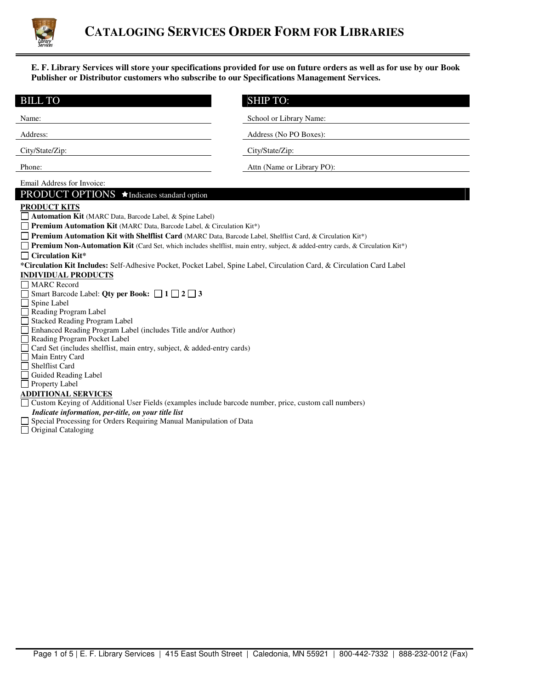

**E. F. Library Services will store your specifications provided for use on future orders as well as for use by our Book Publisher or Distributor customers who subscribe to our Specifications Management Services.** 

| <b>BILL TO</b>                                                                                                                                                                                                                                                                                                                                                                                                                                                                                                                                                                                                                                                                                                                                                                                                                                                                         | <b>SHIP TO:</b>            |
|----------------------------------------------------------------------------------------------------------------------------------------------------------------------------------------------------------------------------------------------------------------------------------------------------------------------------------------------------------------------------------------------------------------------------------------------------------------------------------------------------------------------------------------------------------------------------------------------------------------------------------------------------------------------------------------------------------------------------------------------------------------------------------------------------------------------------------------------------------------------------------------|----------------------------|
| Name:                                                                                                                                                                                                                                                                                                                                                                                                                                                                                                                                                                                                                                                                                                                                                                                                                                                                                  | School or Library Name:    |
| Address:                                                                                                                                                                                                                                                                                                                                                                                                                                                                                                                                                                                                                                                                                                                                                                                                                                                                               | Address (No PO Boxes):     |
| City/State/Zip:                                                                                                                                                                                                                                                                                                                                                                                                                                                                                                                                                                                                                                                                                                                                                                                                                                                                        | City/State/Zip:            |
| Phone:                                                                                                                                                                                                                                                                                                                                                                                                                                                                                                                                                                                                                                                                                                                                                                                                                                                                                 | Attn (Name or Library PO): |
| Email Address for Invoice:                                                                                                                                                                                                                                                                                                                                                                                                                                                                                                                                                                                                                                                                                                                                                                                                                                                             |                            |
| PRODUCT OPTIONS ★Indicates standard option                                                                                                                                                                                                                                                                                                                                                                                                                                                                                                                                                                                                                                                                                                                                                                                                                                             |                            |
| <b>PRODUCT KITS</b><br>Automation Kit (MARC Data, Barcode Label, & Spine Label)<br><b>Premium Automation Kit (MARC Data, Barcode Label, &amp; Circulation Kit*)</b><br>Premium Automation Kit with Shelflist Card (MARC Data, Barcode Label, Shelflist Card, & Circulation Kit*)<br><b>Premium Non-Automation Kit</b> (Card Set, which includes shelflist, main entry, subject, & added-entry cards, & Circulation Kit*)<br>$\exists$ Circulation Kit*<br>*Circulation Kit Includes: Self-Adhesive Pocket, Pocket Label, Spine Label, Circulation Card, & Circulation Card Label<br><b>INDIVIDUAL PRODUCTS</b><br><b>MARC</b> Record<br>Smart Barcode Label: Qty per Book: $\Box$ 1 $\Box$ 2 $\Box$ 3<br>Spine Label<br>Reading Program Label<br><b>Stacked Reading Program Label</b><br>Enhanced Reading Program Label (includes Title and/or Author)<br>Reading Program Pocket Label |                            |
| Card Set (includes shelflist, main entry, subject, & added-entry cards)<br>Main Entry Card<br><b>Shelflist Card</b>                                                                                                                                                                                                                                                                                                                                                                                                                                                                                                                                                                                                                                                                                                                                                                    |                            |
| Guided Reading Label<br>Property Label                                                                                                                                                                                                                                                                                                                                                                                                                                                                                                                                                                                                                                                                                                                                                                                                                                                 |                            |
| <b>ADDITIONAL SERVICES</b>                                                                                                                                                                                                                                                                                                                                                                                                                                                                                                                                                                                                                                                                                                                                                                                                                                                             |                            |
| Custom Keying of Additional User Fields (examples include barcode number, price, custom call numbers)                                                                                                                                                                                                                                                                                                                                                                                                                                                                                                                                                                                                                                                                                                                                                                                  |                            |
| Indicate information, per-title, on your title list<br>$\Box$ Consistent Discussions for Orders Deministration Memorial Memorial state of Detail                                                                                                                                                                                                                                                                                                                                                                                                                                                                                                                                                                                                                                                                                                                                       |                            |

- Special Processing for Orders Requiring Manual Manipulation of Data
- Original Cataloging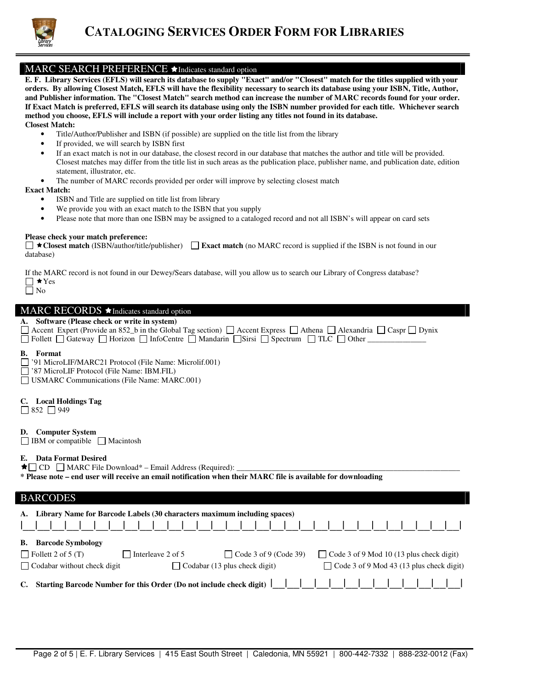

## $MARC$  SEARCH PREFERENCE  $\bigstar$  Indicates standard option

**E. F. Library Services (EFLS) will search its database to supply "Exact" and/or "Closest" match for the titles supplied with your orders. By allowing Closest Match, EFLS will have the flexibility necessary to search its database using your ISBN, Title, Author, and Publisher information. The "Closest Match" search method can increase the number of MARC records found for your order. If Exact Match is preferred, EFLS will search its database using only the ISBN number provided for each title. Whichever search method you choose, EFLS will include a report with your order listing any titles not found in its database. Closest Match:** 

- Title/Author/Publisher and ISBN (if possible) are supplied on the title list from the library
- If provided, we will search by ISBN first
- If an exact match is not in our database, the closest record in our database that matches the author and title will be provided. Closest matches may differ from the title list in such areas as the publication place, publisher name, and publication date, edition statement, illustrator, etc.
- The number of MARC records provided per order will improve by selecting closest match

**Exact Match:** 

- ISBN and Title are supplied on title list from library
- We provide you with an exact match to the ISBN that you supply
- Please note that more than one ISBN may be assigned to a cataloged record and not all ISBN's will appear on card sets

#### **Please check your match preference:**

**Closest match** (ISBN/author/title/publisher) **Exact match** (no MARC record is supplied if the ISBN is not found in our database)

If the MARC record is not found in our Dewey/Sears database, will you allow us to search our Library of Congress database?  $\Box \star \text{Yes}$ 

| v<br>× |
|--------|
|        |

# MARC RECORDS  $\bigstar$  Indicates standard option

#### **A. Software (Please check or write in system)**

 $\Box$  Accent Expert (Provide an 852\_b in the Global Tag section)  $\Box$  Accent Express  $\Box$  Athena  $\Box$  Alexandria  $\Box$  Caspr  $\Box$  Dynix  $\Box$  Follett  $\Box$  Gateway  $\Box$  Horizon  $\Box$  InfoCentre  $\Box$  Mandarin  $\Box$  Sirsi  $\Box$  Spectrum  $\Box$  TLC  $\Box$  Other  $\Box$ 

#### **B. Format**

'91 MicroLIF/MARC21 Protocol (File Name: Microlif.001)

'87 MicroLIF Protocol (File Name: IBM.FIL)

USMARC Communications (File Name: MARC.001)

#### **C. Local Holdings Tag**

 $\Box$  852  $\Box$  949

#### **D. Computer System**

 $\Box$  IBM or compatible  $\Box$  Macintosh

#### **E. Data Format Desired**

 $\bigstar$   $\square$  CD  $\square$  MARC File Download\* – Email Address (Required):

**\* Please note – end user will receive an email notification when their MARC file is available for downloading**

| <b>BARCODES</b> |  |  |
|-----------------|--|--|
|                 |  |  |

|    | A. Library Name for Barcode Labels (30 characters maximum including spaces)                                                              |
|----|------------------------------------------------------------------------------------------------------------------------------------------|
|    |                                                                                                                                          |
| В. | <b>Barcode Symbology</b>                                                                                                                 |
|    | $\Box$ Follett 2 of 5 (T)<br>$\Box$ Code 3 of 9 (Code 39)<br>$\Box$ Code 3 of 9 Mod 10 (13 plus check digit)<br>$\Box$ Interleave 2 of 5 |
|    | $\Box$ Code 3 of 9 Mod 43 (13 plus check digit)<br>$\Box$ Codabar without check digit<br>$\Box$ Codabar (13 plus check digit)            |
| C. | Starting Barcode Number for this Order (Do not include check digit)                                                                      |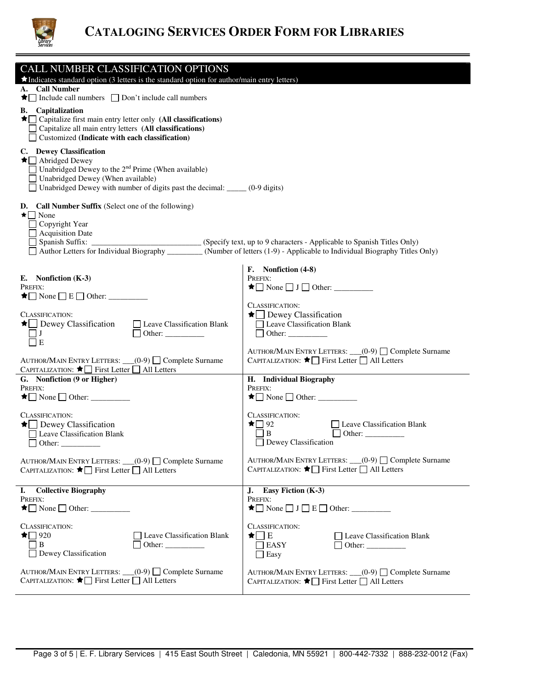

| CALL NUMBER CLASSIFICATION OPTIONS                                                                                                                                                                                                           |                                                                                                     |
|----------------------------------------------------------------------------------------------------------------------------------------------------------------------------------------------------------------------------------------------|-----------------------------------------------------------------------------------------------------|
| Indicates standard option (3 letters is the standard option for author/main entry letters)<br>A. Call Number                                                                                                                                 |                                                                                                     |
| ★ Include call numbers Don't include call numbers<br><b>B.</b> Capitalization                                                                                                                                                                |                                                                                                     |
| Capitalize first main entry letter only (All classifications)<br>Capitalize all main entry letters (All classifications)<br>Customized (Indicate with each classification)                                                                   |                                                                                                     |
| C. Dewey Classification<br>★□ Abridged Dewey<br>$\Box$ Unabridged Dewey to the 2 <sup>nd</sup> Prime (When available)<br>□ Unabridged Dewey (When available)<br>□ Unabridged Dewey with number of digits past the decimal: ____ (0-9 digits) |                                                                                                     |
| D. Call Number Suffix (Select one of the following)<br>$\star$ None                                                                                                                                                                          |                                                                                                     |
| $\Box$ Copyright Year<br>$\Box$ Acquisition Date                                                                                                                                                                                             |                                                                                                     |
| $\Box$ Spanish Suffix:<br>Author Letters for Individual Biography _________(Number of letters (1-9) - Applicable to Individual Biography Titles Only)                                                                                        | (Specify text, up to 9 characters - Applicable to Spanish Titles Only)                              |
| E. Nonfiction (K-3)                                                                                                                                                                                                                          | F. Nonfiction (4-8)<br>PREFIX:                                                                      |
| PREFIX:                                                                                                                                                                                                                                      |                                                                                                     |
| CLASSIFICATION:                                                                                                                                                                                                                              | CLASSIFICATION:<br>Dewey Classification                                                             |
| $\star$ Dewey Classification<br>Leave Classification Blank<br>$\Box$ J                                                                                                                                                                       | □ Leave Classification Blank                                                                        |
| $\Box$ E                                                                                                                                                                                                                                     | AUTHOR/MAIN ENTRY LETTERS: __(0-9) □ Complete Surname                                               |
| AUTHOR/MAIN ENTRY LETTERS: __(0-9) □ Complete Surname<br>CAPITALIZATION: ★ First Letter All Letters                                                                                                                                          | CAPITALIZATION: ★ First Letter All Letters                                                          |
| G. Nonfiction (9 or Higher)<br>PREFIX:                                                                                                                                                                                                       | H. Individual Biography<br>PREFIX:                                                                  |
| $\star$ $\Box$ None $\Box$ Other: $\_\_\_\_\_\_\_\_\_\_\_\_\_\_\_\_\_\_\_\_$                                                                                                                                                                 |                                                                                                     |
| CLASSIFICATION:<br>$\star$ Dewey Classification                                                                                                                                                                                              | CLASSIFICATION:<br>$\star$ 92<br>Leave Classification Blank                                         |
| Leave Classification Blank<br>$\Box$ Other:                                                                                                                                                                                                  | $\Box$ B<br>Other: $\_\_$<br>$\Box$ Dewey Classification                                            |
| AUTHOR/MAIN ENTRY LETTERS: __(0-9) □ Complete Surname<br>CAPITALIZATION: ★   First Letter   All Letters                                                                                                                                      | AUTHOR/MAIN ENTRY LETTERS: _(0-9) □ Complete Surname<br>CAPITALIZATION: ★ First Letter All Letters  |
| <b>Collective Biography</b><br>I.<br>PREFIX:                                                                                                                                                                                                 | J. Easy Fiction (K-3)<br>PREFIX:                                                                    |
|                                                                                                                                                                                                                                              | $\bigstar$ $\Box$ None $\Box$ J $\Box$ E $\Box$ Other:                                              |
| CLASSIFICATION:<br>$\star$   920<br>Leave Classification Blank<br>$\Box$ B<br>Other: $\qquad \qquad$                                                                                                                                         | CLASSIFICATION:<br>$\star$ E<br>Leave Classification Blank<br>$\Box$ EASY<br>Other:                 |
| $\Box$ Dewey Classification                                                                                                                                                                                                                  | $\Box$ Easy                                                                                         |
| AUTHOR/MAIN ENTRY LETTERS: __(0-9) □ Complete Surname<br>CAPITALIZATION: ★□ First Letter □ All Letters                                                                                                                                       | AUTHOR/MAIN ENTRY LETTERS: __(0-9) □ Complete Surname<br>CAPITALIZATION: ★ First Letter All Letters |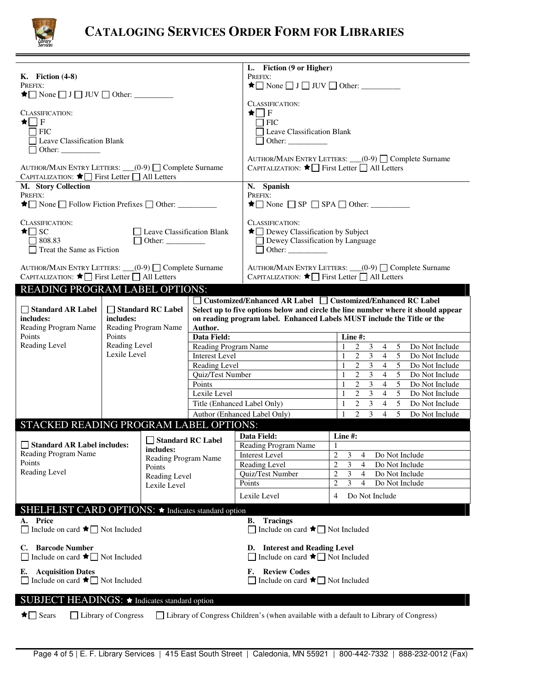

# **CATALOGING SERVICES ORDER FORM FOR LIBRARIES**

| K. Fiction $(4-8)$<br>PREFIX:<br>$\bigstar$ None $\Box$ J $\Box$ JUV $\Box$ Other:<br>CLASSIFICATION:<br>$\star \Box F$<br>$\Box$ FIC<br>$\Box$ Leave Classification Blank<br>AUTHOR/MAIN ENTRY LETTERS: _(0-9) □ Complete Surname<br>CAPITALIZATION: ★ First Letter All Letters<br>M. Story Collection<br>PREFIX:<br>★ None Follow Fiction Prefixes Dother: __________<br>CLASSIFICATION:<br>$\star \Box$ SC<br>$\Box$ 808.83<br>$\Box$ Treat the Same as Fiction<br>AUTHOR/MAIN ENTRY LETTERS: __(0-9) □ Complete Surname |                                                      | $\Box$ Leave Classification Blank                                                                        |                                                                                                                                        | PREFIX:<br>$\bigstar$ None $\Box$ J $\Box$ JUV $\Box$ Other:<br>CLASSIFICATION:<br>$\star$ IF<br>$\Box$ FIC<br>□ Leave Classification Blank<br>AUTHOR/MAIN ENTRY LETTERS: _(0-9) □ Complete Surname<br>CAPITALIZATION: ★ □ First Letter □ All Letters<br>N. Spanish<br>PREFIX:<br>CLASSIFICATION:<br>Dewey Classification by Subject<br>$\Box$ Dewey Classification by Language<br>AUTHOR/MAIN ENTRY LETTERS: _(0-9) □ Complete Surname |                                                                                                                                                                                                                                                                                                                                                                                                                                                                                                                                                                                                                                                                                                                                                                                                                                                                                                                                                 |  |  |  |  |  |  |  |  |
|-----------------------------------------------------------------------------------------------------------------------------------------------------------------------------------------------------------------------------------------------------------------------------------------------------------------------------------------------------------------------------------------------------------------------------------------------------------------------------------------------------------------------------|------------------------------------------------------|----------------------------------------------------------------------------------------------------------|----------------------------------------------------------------------------------------------------------------------------------------|-----------------------------------------------------------------------------------------------------------------------------------------------------------------------------------------------------------------------------------------------------------------------------------------------------------------------------------------------------------------------------------------------------------------------------------------|-------------------------------------------------------------------------------------------------------------------------------------------------------------------------------------------------------------------------------------------------------------------------------------------------------------------------------------------------------------------------------------------------------------------------------------------------------------------------------------------------------------------------------------------------------------------------------------------------------------------------------------------------------------------------------------------------------------------------------------------------------------------------------------------------------------------------------------------------------------------------------------------------------------------------------------------------|--|--|--|--|--|--|--|--|
| CAPITALIZATION: ★ First Letter All Letters                                                                                                                                                                                                                                                                                                                                                                                                                                                                                  |                                                      |                                                                                                          |                                                                                                                                        | CAPITALIZATION: ★ First Letter All Letters                                                                                                                                                                                                                                                                                                                                                                                              |                                                                                                                                                                                                                                                                                                                                                                                                                                                                                                                                                                                                                                                                                                                                                                                                                                                                                                                                                 |  |  |  |  |  |  |  |  |
| READING PROGRAM LABEL OPTIONS:<br>Standard AR Label<br>includes:<br>Reading Program Name<br>Points<br>Reading Level                                                                                                                                                                                                                                                                                                                                                                                                         | includes:<br>Points<br>Reading Level<br>Lexile Level | Standard RC Label<br>Reading Program Name                                                                | Author.<br>Data Field:<br>Reading Program Name<br><b>Interest Level</b><br>Reading Level<br>Quiz/Test Number<br>Points<br>Lexile Level | Title (Enhanced Label Only)<br>Author (Enhanced Label Only)                                                                                                                                                                                                                                                                                                                                                                             | □ Customized/Enhanced AR Label □ Customized/Enhanced RC Label<br>Select up to five options below and circle the line number where it should appear<br>on reading program label. Enhanced Labels MUST include the Title or the<br>Line #:<br>2<br>Do Not Include<br>1<br>3<br>$\overline{4}$<br>5<br>$\mathfrak{Z}$<br>5<br>$\mathbf{1}$<br>2<br>$\overline{4}$<br>Do Not Include<br>$\overline{5}$<br>$\mathbf{2}$<br>$\overline{3}$<br>$\overline{4}$<br>$\mathbf{1}$<br>Do Not Include<br>$\mathfrak{Z}$<br>5 <sup>1</sup><br>$\overline{c}$<br>$\mathbf{1}$<br>$\overline{4}$<br>Do Not Include<br>2<br>$\mathbf{3}$<br>5<br>1<br>$\overline{4}$<br>Do Not Include<br>$\overline{3}$<br>$\mathbf{2}$<br>5<br>$\overline{4}$<br>$\mathbf{1}$<br>Do Not Include<br>$\overline{3}$<br>$\overline{5}$<br>2<br>$\overline{4}$<br>1<br>Do Not Include<br>$\overline{2}$<br>$\overline{3}$<br>$\mathbf{1}$<br>5<br>Do Not Include<br>$\overline{4}$ |  |  |  |  |  |  |  |  |
| STACKED READING PROGRAM LABEL OPTIONS:                                                                                                                                                                                                                                                                                                                                                                                                                                                                                      |                                                      |                                                                                                          |                                                                                                                                        |                                                                                                                                                                                                                                                                                                                                                                                                                                         |                                                                                                                                                                                                                                                                                                                                                                                                                                                                                                                                                                                                                                                                                                                                                                                                                                                                                                                                                 |  |  |  |  |  |  |  |  |
| $\Box$ Standard AR Label includes:<br>Reading Program Name<br>Points<br>Reading Level                                                                                                                                                                                                                                                                                                                                                                                                                                       |                                                      | $\Box$ Standard RC Label<br>includes:<br>Reading Program Name<br>Points<br>Reading Level<br>Lexile Level |                                                                                                                                        | Data Field:<br><b>Reading Program Name</b><br><b>Interest Level</b><br>Reading Level<br>Quiz/Test Number<br>Points<br>Lexile Level                                                                                                                                                                                                                                                                                                      | Line #:<br>1<br>2<br>3<br>4<br>Do Not Include<br>$\overline{2}$<br>3<br>$\overline{4}$<br>Do Not Include<br>$\overline{c}$<br>3<br>4<br>Do Not Include<br>$\overline{2}$<br>3<br>4<br>Do Not Include<br>Do Not Include<br>4                                                                                                                                                                                                                                                                                                                                                                                                                                                                                                                                                                                                                                                                                                                     |  |  |  |  |  |  |  |  |
| SHELFLIST CARD OPTIONS: ★ Indicates standard option                                                                                                                                                                                                                                                                                                                                                                                                                                                                         |                                                      |                                                                                                          |                                                                                                                                        |                                                                                                                                                                                                                                                                                                                                                                                                                                         |                                                                                                                                                                                                                                                                                                                                                                                                                                                                                                                                                                                                                                                                                                                                                                                                                                                                                                                                                 |  |  |  |  |  |  |  |  |
| A. Price<br>$\Box$ Include on card $\bigstar$ $\Box$ Not Included<br><b>Barcode Number</b><br>C.<br>$\Box$ Include on card $\bigstar$ $\Box$ Not Included<br><b>Acquisition Dates</b><br>Е.<br>$\Box$ Include on card $\bigstar \Box$ Not Included<br>SUBJECT HEADINGS: ★ Indicates standard option                                                                                                                                                                                                                         |                                                      |                                                                                                          |                                                                                                                                        | <b>Tracings</b><br>В.<br>$\Box$ Include on card $\bigstar$ $\Box$ Not Included<br>D. Interest and Reading Level<br>Include on card $\star$ $\Box$ Not Included<br><b>Review Codes</b><br>F.<br>$\Box$ Include on card $\bigstar \Box$ Not Included                                                                                                                                                                                      |                                                                                                                                                                                                                                                                                                                                                                                                                                                                                                                                                                                                                                                                                                                                                                                                                                                                                                                                                 |  |  |  |  |  |  |  |  |

Sears  $\Box$  Library of Congress  $\Box$  Library of Congress Children's (when available with a default to Library of Congress)